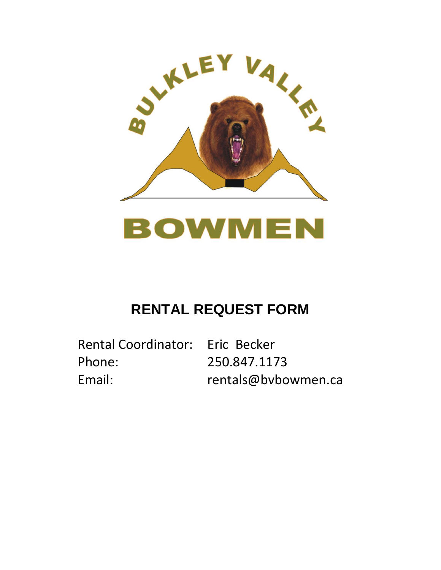

# BOWMEN

### **RENTAL REQUEST FORM**

Rental Coordinator: Eric Becker Phone: 250.847.1173

Email: rentals@bvbowmen.ca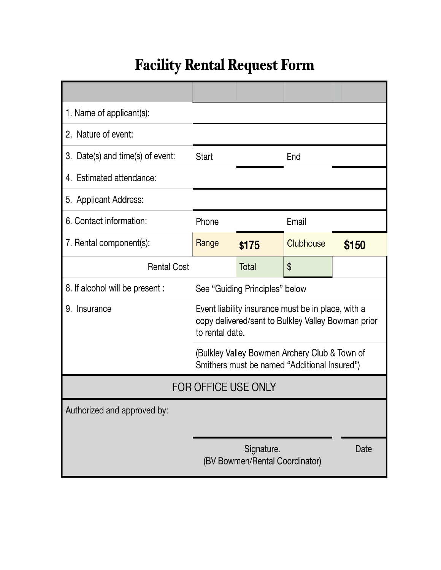## **Facility Rental Request Form**

| 1. Name of applicant(s):         |                                                                                                                             |       |           |       |
|----------------------------------|-----------------------------------------------------------------------------------------------------------------------------|-------|-----------|-------|
| 2. Nature of event:              |                                                                                                                             |       |           |       |
| 3. Date(s) and time(s) of event: | <b>Start</b>                                                                                                                |       | End       |       |
| 4. Estimated attendance:         |                                                                                                                             |       |           |       |
| 5. Applicant Address:            |                                                                                                                             |       |           |       |
| 6. Contact information:          | Phone                                                                                                                       |       | Email     |       |
| 7. Rental component(s):          | Range                                                                                                                       | \$175 | Clubhouse | \$150 |
| <b>Rental Cost</b>               |                                                                                                                             | Total | \$        |       |
| 8. If alcohol will be present :  | See "Guiding Principles" below                                                                                              |       |           |       |
| Insurance<br>9.                  | Event liability insurance must be in place, with a<br>copy delivered/sent to Bulkley Valley Bowman prior<br>to rental date. |       |           |       |
|                                  | (Bulkley Valley Bowmen Archery Club & Town of<br>Smithers must be named "Additional Insured")                               |       |           |       |
| <b>FOR OFFICE USE ONLY</b>       |                                                                                                                             |       |           |       |
| Authorized and approved by:      |                                                                                                                             |       |           |       |
|                                  |                                                                                                                             |       |           |       |
|                                  | Signature.<br>Date<br>(BV Bowmen/Rental Coordinator)                                                                        |       |           |       |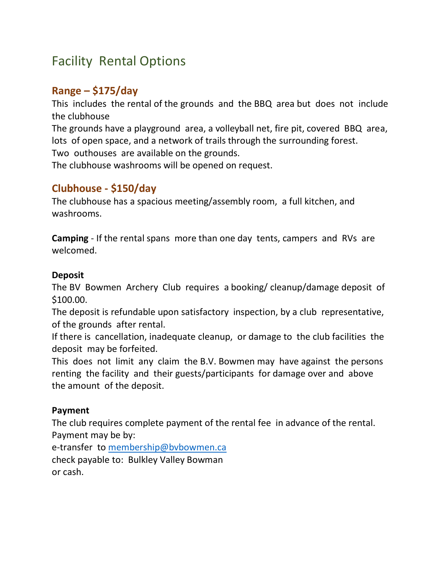### Facility Rental Options

#### **Range – \$175/day**

This includes the rental of the grounds and the BBQ area but does not include the clubhouse

The grounds have a playground area, a volleyball net, fire pit, covered BBQ area, lots of open space, and a network of trails through the surrounding forest. Two outhouses are available on the grounds.

The clubhouse washrooms will be opened on request.

#### **Clubhouse - \$150/day**

The clubhouse has a spacious meeting/assembly room, a full kitchen, and washrooms.

**Camping** - If the rental spans more than one day tents, campers and RVs are welcomed.

#### **Deposit**

The BV Bowmen Archery Club requires a booking/ cleanup/damage deposit of \$100.00.

The deposit is refundable upon satisfactory inspection, by a club representative, of the grounds after rental.

If there is cancellation, inadequate cleanup, or damage to the club facilities the deposit may be forfeited.

This does not limit any claim the B.V. Bowmen may have against the persons renting the facility and their guests/participants for damage over and above the amount of the deposit.

#### **Payment**

The club requires complete payment of the rental fee in advance of the rental. Payment may be by:

e-transfer to [membership@bvbowmen.ca](mailto:membership@bvbowmen.ca) check payable to: Bulkley Valley Bowman or cash.